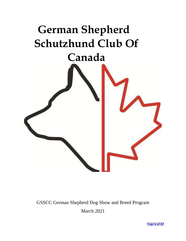# **German Shepherd Schutzhund Club Of Canada**



# GSSCC German Shepherd Dog Show and Breed Program March 2021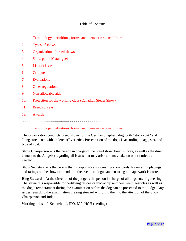#### Table of Contents:

- 1. Terminology, definitions, forms, and member responsibilities
- 2. Types of shows
- 3. Organization of breed shows
- 4. Show guide (Catalogue)
- 5. List of classes
- 6. Critiques
- 7. Evaluations
- 8. Other regulations
- 9. Non-allowable aids
- 10. Protection for the working class (Canadian Sieger Show)
- 11. Breed surveys
- 12. Awards

~~~~~~~~~~~~~~~~~~~~~~~~~~~~~~~~~~~~~~~~~

#### 1. Terminology, definitions, forms, and member responsibilities

The organization conducts breed shows for the German Shepherd dog, both "stock coat" and "long stock coat with undercoat" varieties. Presentation of the dogs is according to age, sex, and type of coat.

Show Chairperson – Is the person in charge of the breed show, breed survey, as well as the direct contact to the Judge(s) regarding all issues that may arise and may take on other duties as needed.

Show Secretary – Is the person that is responsible for creating show cards, for entering placings and ratings on the show card and into the event catalogue and ensuring all paperwork is correct.

Ring Steward – At the direction of the judge is the person in charge of all dogs entering the ring. The steward is responsible for certifying tattoos or microchip numbers, teeth, testicles as well as the dog's temperament during the examination before the dog can be presented to the Judge. Any issues regarding the examination the ring steward will bring them to the attention of the Show Chairperson and Judge.

Working titles – Is Schutzhund, IPO, IGP, HGH (herding)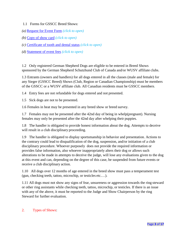#### 1.1 Forms for GSSCC Breed Shows:

- *(a)* [Request for Event Form](http://gsscc.ca/media/2104/event-request.pdf) *(click to open)*
- *(b)* [Copy of show card](http://gsscc.ca/media/1086/show_card_2014-04-20_gsscc_show_card_-_form_enabled-1-new.pdf) *(click to open)*
- *(c)* [Certificate of tooth and dental status](http://gsscc.ca/media/1077/dental_certification_2016-03_dental_notation_form_enabled_for_gsscc_website_ver_4-2.pdf) *(click to open)*
- *(d)* [Statement of event fees](http://gsscc.ca/media/1088/web_gsscc_event_fees_show__e-form_march2019.pdf) *(click to open)*

1.2 Only registered German Shepherd Dogs are eligible to be entered in Breed Shows sponsored by the German Shepherd Schutzhund Club of Canada and/or WUSV affiliate clubs.

1.3 Entrants (owners and handlers) for all dogs entered in all the classes (male and female) for any Sieger (GSSCC Breed) Shows (Club, Region or Canadian Championship) must be members of the GSSCC or a WUSV affiliate club. All Canadian residents must be GSSCC members.

1.4 Entry fees are not refundable for dogs entered and not presented.

1.5 Sick dogs are not to be presented.

1.6 Females in heat may be presented in any breed show or breed survey.

1.7 Females may not be presented after the 42nd day of being in whelp(pregnant). Nursing females may only be presented after the 42nd day after whelping their puppies.

1.8 The handler is obligated to provide honest information about the dog. Attempts to deceive will result in a club disciplinary proceeding.

1.9 The handler is obligated to display sportsmanship in behavior and presentation. Actions to the contrary could lead to disqualification of the dog, suspension, and/or initiation of a club disciplinary procedure. Whoever purposely does not provide the required information or provides false information, also whoever inappropriately alters their dog or allows such alterations to be made in attempts to deceive the judge, will lose any evaluations given to the dog at this event and can, depending on the degree of this case, be suspended from future events or receive a club disciplinary action.

1.10 All dogs over 12 months of age entered in the breed show must pass a temperament test (gun, checking teeth, tattoo, microchip, or testicles etc.…).

1.11 All dogs must not show any signs of fear, unsureness or aggression towards the ring steward or other ring assistants while checking teeth, tattoo, microchip, or testicles. If there is an issue with any of the above, it must be reported to the Judge and Show Chairperson by the ring Steward for further evaluation.

# 2. Types of Shows: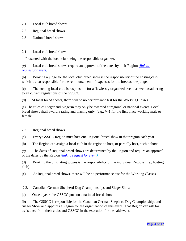- 2.1 Local club breed shows
- 2.2 Regional breed shows
- 2.3 National breed shows
- 2.1 Local club breed shows

Presented with the local club being the responsible organizer.

*(a)* Local club breed shows require an approval of the dates by their Region *[\(link to](http://gsscc.ca/media/2104/event-request.pdf)  [request for](http://gsscc.ca/media/2104/event-request.pdf) event).*

(b) Booking a judge for the local club breed show is the responsibility of the hosting club, which is also responsible for the reimbursement of expenses for the breed/show judge.

(c) The hosting local club is responsible for a flawlessly organized event, as well as adhering to all current regulations of the GSSCC.

(d) At local breed shows, there will be no performance test for the Working Classes

(e) The titles of Sieger and Siegerin may only be awarded at regional or national events. Local breed shows shall award a rating and placing only. (e.g., V-1 for the first place working male or female.

2.2. Regional breed shows

(a) Every GSSCC Region must host one Regional breed show in their region each year.

(b) The Region can assign a local club in the region to host, or partially host, such a show.

*(c)* The dates of Regional breed shows are determined by the Region and require an approval of the dates by the Region *[\(link to request for](http://gsscc.ca/media/2104/event-request.pdf) event).*

(d) Booking the officiating judges is the responsibility of the individual Regions (i.e., hosting club).

(e) At Regional breed shows, there will be no performance test for the Working Classes

2.3. Canadian German Shepherd Dog Championships and Sieger Show

(a) Once a year, the GSSCC puts on a national breed show.

(b) The GSSCC is responsible for the Canadian German Shepherd Dog Championships and Sieger Show and appoints a Region for the organization of this event. That Region can ask for assistance from their clubs and GSSCC in the execution for the said event.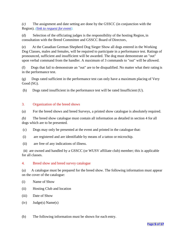*(c)* The assignment and date setting are done by the GSSCC (in conjunction with the Region). *[\(link to request for](http://gsscc.ca/media/2104/event-request.pdf) event).*

(d) Selection of the officiating judges is the responsibility of the hosting Region, in consultation with the Breed Committee and GSSCC Board of Directors

(e) At the Canadian German Shepherd Dog Sieger Show all dogs entered in the Working Dog Classes, males and females, will be required to participate in a performance test. Ratings of pronounced, sufficient and insufficient will be awarded. The dog must demonstrate an "out" upon verbal command from the handler. A maximum of 3 commands to "out" will be allowed.

(f) Dogs that fail to demonstrate an "out" are to be disqualified. No matter what their rating is in the performance test.

(g) Dogs rated sufficient in the performance test can only have a maximum placing of Very Good (SG).

(h) Dogs rated insufficient in the performance test will be rated Insufficient (U).

# 3. Organization of the breed shows

(a) For the breed shows and breed Surveys, a printed show catalogue is absolutely required.

*(b)* The breed show catalogue must contain all information as detailed in section 4 for all dogs which are to be presented*.*

- (c) Dogs may only be presented at the event and printed in the catalogue that:
- (i) are registered and are identifiable by means of a tattoo or microchip.
- (ii) are free of any indications of illness.

(iii) are owned and handled by a GSSCC (or WUSV affiliate club) member; this is applicable for all classes.

# 4. Breed show and breed survey catalogue

(a) A catalogue must be prepared for the breed show. The following information must appear on the cover of the catalogue:

- (i) Name of Show
- (ii) Hosting Club and location
- (iii) Date of Show
- $(iv)$  Judge $(s)$  Name $(s)$

(b) The following information must be shown for each entry.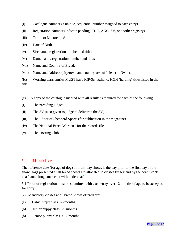- (i) Catalogue Number (a unique, sequential number assigned to each entry)
- (ii) Registration Number (indicate pending, CKC, AKC, SV, or another registry)
- (iii) Tattoo or Microchip #
- (iv) Date of Birth
- (v) Sire name, registration number and titles
- (vi) Dame name, registration number and titles
- (vii) Name and Country of Breeder
- (viii) Name and Address (city/town and country are sufficient) of Owner.
- (ix) Working class entries MUST have IGP/Schutzhund, HGH (herding) titles listed in the title.
- (c) A copy of the catalogue marked with all results is required for each of the following
- (i) The presiding judges
- (ii) The SV (also given to judge to deliver to the SV)
- (iii) The Editor of Shepherd Sports (for publication in the magazine)
- (iv) The National Breed Warden for the records file
- (v) The Hosting Club

#### 5. List of classes

The reference date (for age of dog) of multi-day shows is the day prior to the first day of the show Dogs presented at all breed shows are allocated to classes by sex and by the coat "stock coat" and "long stock coat with undercoat".

5.1 Proof of registration must be submitted with each entry over 12 months of age to be accepted for entry.

5.2. Mandatory classes at all breed shows offered are:

- (a) Baby Puppy class 3-6 months
- (b) Junior puppy class 6-9 months
- (b) Senior puppy class 9-12 months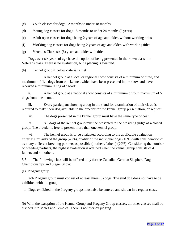- (c) Youth classes for dogs 12 months to under 18 months.
- (d) Young dog classes for dogs 18 months to under 24 months (2 years)
- (e) Adult open classes for dogs being 2 years of age and older, without working titles
- (f) Working dog classes for dogs being 2 years of age and older, with working titles
- (g) Veterans Class, six (6) years and older with titles

i. Dogs over six years of age have the option of being presented in their own class- the Veterans class. There is no evaluation, but a placing is awarded.

(h) Kennel group if below criteria is met:

i. A kennel group at a local or regional show consists of a minimum of three, and maximum of five dogs from one kennel, which have been presented in the show and have received a minimum rating of "good".

ii. A kennel group at a national show consists of a minimum of four, maximum of 5 dogs from one kennel.

iii. Every participant showing a dog in the stand for examination of their class, is required to make their dog available to the breeder for the kennel group presentation, on request.

iv. The dogs presented in the kennel group must have the same type of coat.

v. All dogs of the kennel group must be presented to the presiding judge as a closed group. The breeder is free to present more than one kennel group.

vi. The kennel group is to be evaluated according to the applicable evaluation criteria: similarity of the group (40%), quality of the individual dogs (40%) with consideration of as many different breeding partners as possible (mothers/fathers) (20%). Considering the number of breeding partners, the highest evaluation is attained when the kennel group consists of 4 fathers and 4 mothers.

5.3 The following class will be offered only for the Canadian German Shepherd Dog Championships and Sieger Show:

(a) Progeny group

i. Each Progeny group must consist of at least three (3) dogs. The stud dog does not have to be exhibited with the group.

ii. Dogs exhibited in the Progeny groups must also be entered and shown in a regular class.

(b) With the exception of the Kennel Group and Progeny Group classes, all other classes shall be divided into Males and Females. There is no intersex judging.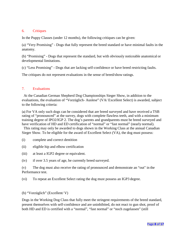#### 6. Critiques

In the Puppy Classes (under 12 months), the following critiques can be given:

(a) "Very Promising" - Dogs that fully represent the breed standard or have minimal faults in the anatomy.

(b) "Promising" - Dogs that represent the standard, but with obviously noticeable anatomical or developmental limitations.

(c) "Less Promising" - Dogs that are lacking self-confidence or have breed restricting faults.

The critiques do not represent evaluations in the sense of breed/show ratings.

# 7. Evaluations

At the Canadian German Shepherd Dog Championships Sieger Show, in addition to the evaluations, the evaluation of "Vorzüglich- Auslese" (VA/ Excellent Select) is awarded, subject to the following criteria:

(a) For VA only such dogs can be considered that are breed surveyed and have received a TSB rating of "pronounced" at the survey, dogs with complete flawless teeth, and with a minimum training degree of IPO2/IGP 2. The dog's parents and grandparents must be breed surveyed and have verification of HD and ED certification of "normal" or "fast normal" (nearly normal).

This rating may only be awarded to dogs shown in the Working Class at the annual Canadian Sieger Show. To be eligible for the award of Excellent Select (VA), the dog must possess:

- (i) complete and correct dentition
- (ii) eligible hip and elbow certification
- (iii) at least a IGP2 degree or equivalent.
- (iv) if over 3.5 years of age, be currently breed surveyed.

(v) The dog must also receive the rating of pronounced and demonstrate an "out" in the Performance test.

(vi) To repeat an Excellent Select rating the dog must possess an IGP3 degree.

#### (b) "Vorzüglich" (Excellent/ V)

Dogs in the Working Dog Class that fully meet the stringent requirements of the breed standard, present themselves with self-confidence and are uninhibited, do not react to gun shot, proof of both HD and ED is certified with a "normal", "fast normal" or "noch zugelassen" (still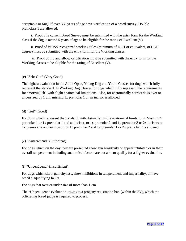acceptable or fair). If over  $3\frac{1}{2}$  years of age have verification of a breed survey. Double premolars 1 are allowed.

i. Proof of a current Breed Survey must be submitted with the entry form for the Working class if the dog is over 3.5 years of age to be eligible for the rating of Excellent (V).

ii. Proof of WUSV recognized working titles (minimum of IGP1 or equivalent, or HGH degree) must be submitted with the entry form for the Working classes.

iii. Proof of hip and elbow certification must be submitted with the entry form for the Working classes to be eligible for the rating of Excellent (V).

# (c) "Sehr Gut" (Very Good)

The highest evaluation in the Adult Open, Young Dog and Youth Classes for dogs which fully represent the standard. In Working Dog Classes for dogs which fully represent the requirements for "Vorzüglich" with slight anatomical limitations. Also, for anatomically correct dogs over or undersized by 1 cm, missing 1x premolar 1 or an incisor is allowed.

#### (d) "Gut" (Good)

For dogs which represent the standard, with distinctly visible anatomical limitations. Missing 2x premolar 1 or 1x premolar 1 and an incisor, or 1x premolar 2 and 1x premolar 3 or 2x incisors or 1x premolar 2 and an incisor, or 1x premolar 2 and 1x premolar 1 or 2x premolar 2 is allowed.

#### (e) "Ausreichend" (Sufficient)

For dogs which on the day they are presented show gun sensitivity or appear inhibited or in their overall temperament including anatomical factors are not able to qualify for a higher evaluation.

#### (f) "Ungenügend" (Insufficient)

For dogs which show gun-shyness, show inhibitions in temperament and impartiality, or have breed disqualifying faults.

For dogs that over or under size of more than 1 cm.

The "Ungenügend" evaluation relates to a progeny registration ban (within the SV), which the officiating breed judge is required to process.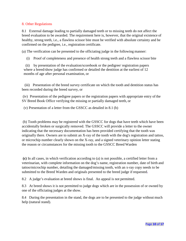#### 8. Other Regulations

8.1 External damage leading to partially damaged teeth or to missing teeth do not affect the breed evaluation to be awarded. The requirement here is, however, that the original existence of healthy, strong teeth, i.e., a flawless scissor bite must be verified with absolute certainty and be confirmed on the pedigree, i.e., registration certificate.

(a) The verification can be presented to the officiating judge in the following manner:

(i) Proof of completeness and presence of health strong teeth and a flawless scissor bite

(ii) by presentation of the evaluation/scorebook or the pedigree/ registration papers where a breed/show judge has confirmed or detailed the dentition at the earliest of 12 months of age after personal examination, or

(iii) Presentation of the breed survey certificate on which the tooth and dentition status has been recorded during the breed survey, or

(iv) Presentation of the pedigree papers or the registration papers with appropriate entry of the SV Breed Book Office verifying the missing or partially damaged teeth, or

(v) Presentation of a letter from the GSSCC as detailed in 8.1 (b)

(b) Tooth problems may be registered with the GSSCC for dogs that have teeth which have been accidentally broken or surgically removed. The GSSCC will provide a letter to the owner indicating that the necessary documentation has been provided certifying that the tooth was originally there. Owners are to submit an X-ray of the tooth with the dog's registration and tattoo, or microchip number clearly shown on the X-ray, and a signed veterinary opinion letter stating the reason or circumstances for the missing tooth to the GSSCC Breed Warden

**(c)** In all cases, in which verification according to (a) is not possible, a certified letter from a veterinarian, with complete information on the dog's name, registration number, date of birth and tattoo/microchip number, detailing the damaged/missing tooth, with an x-ray copy needs to be submitted to the Breed Warden and originals presented to the breed judge if requested**.**

8.2 A judge's evaluation at breed shows is final. An appeal is not permitted.

8.3 At breed shows it is not permitted to judge dogs which are in the possession of or owned by one of the officiating judges at the show.

8.4 During the presentation in the stand, the dogs are to be presented to the judge without much help (natural stand).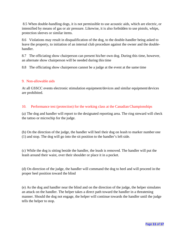8.5 When double-handling dogs, it is not permissible to use acoustic aids, which are electric, or intensified by means of gas or air pressure. Likewise, it is also forbidden to use pistols, whips, protection sleeves or similar items.

8.6 Violations may result in disqualification of the dog, to the double-handler being asked to leave the property, to initiation of an internal club procedure against the owner and the doublehandler.

8.7 The officiating show chairperson can present his/her own dog. During this time, however, an alternate show chairperson will be needed during this time

8.8 The officiating show chairperson cannot be a judge at the event at the same time

# 9. Non-allowable aids

At all GSSCC events electronic stimulation equipment/devices and similar equipment/devices are prohibited.

# 10. Performance test (protection) for the working class at the Canadian Championships

(a) The dog and handler will report to the designated reporting area. The ring steward will check the tattoo or microchip for the judge.

(b) On the direction of the judge, the handler will heel their dog on leash to marker number one (1) and stop. The dog will go into the sit position to the handler's left side.

(c) While the dog is sitting beside the handler, the leash is removed. The handler will put the leash around their waist, over their shoulder or place it in a pocket.

(d) On direction of the judge, the handler will command the dog to heel and will proceed in the proper heel position toward the blind

(e) As the dog and handler near the blind and on the direction of the judge, the helper simulates an attack on the handler. The helper takes a direct path toward the handler in a threatening manner. Should the dog not engage, the helper will continue towards the handler until the judge tells the helper to stop.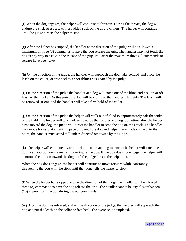(f) When the dog engages, the helper will continue to threaten. During the threats, the dog will endure the stick stress test with a padded stick on the dog's withers. The helper will continue until the judge directs the helper to stop.

(g) After the helper has stopped, the handler at the direction of the judge will be allowed a maximum of three (3) commands to have the dog release the grip. The handler may not touch the dog in any way to assist in the release of the grip until after the maximum three (3) commands to release have been given.

(h) On the direction of the judge, the handler will approach the dog, take control, and place the leash on the collar, or free heel to a spot (blind) designated by the judge

(i) On the direction of the judge the handler and dog will come out of the blind and heel on or off leash to the marker. At this point the dog will be sitting to the handler's left side. The leash will be removed (if on), and the handler will take a firm hold of the collar.

(j) On the direction of the judge the helper will walk out of blind to approximately half the width of the field. The helper will turn and run towards the handler and dog. Sometime after the helper turns toward the dog, the judge will direct the handler to send the dog on the attack. The handler may move forward at a walking pace only until the dog and helper have made contact. At that point, the handler must stand still unless directed otherwise by the judge.

(k) The helper will continue toward the dog in a threatening manner. The helper will catch the dog in an appropriate manner as not to injure the dog. If the dog does not engage, the helper will continue the motion toward the dog until the judge directs the helper to stop.

When the dog does engage, the helper will continue to move forward while constantly threatening the dog with the stick until the judge tells the helper to stop.

(l) When the helper has stopped and on the direction of the judge the handler will be allowed three (3) commands to have the dog release the grip. The handler cannot be any closer than ten (10) meters from the dog during the out commands.

(m) After the dog has released, and on the direction of the judge, the handler will approach the dog and put the leash on the collar or free heel. The exercise is completed.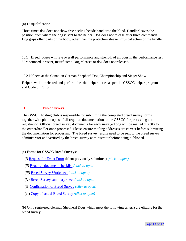(n) Disqualification:

Three times dog does not show free heeling beside handler to the blind. Handler leaves the position from where the dog is sent to the helper. Dog does not release after three commands. Dog grips other parts of the body, other than the protection sleeve. Physical action of the handler.

10.1 Breed judges will rate overall performance and strength of all dogs in the performance test. "Pronounced, present, insufficient. Dog releases or dog does not release".

10.2 Helpers at the Canadian German Shepherd Dog Championship and Sieger Show

Helpers will be selected and perform the trial helper duties as per the GSSCC helper program and Code of Ethics.

#### 11. Breed Surveys

The GSSCC hosting club is responsible for submitting the completed breed survey forms together with photocopies of all required documentation to the GSSCC for processing and registration. Official breed survey documents for each surveyed dog will be mailed directly to the owner/handler once processed. Please ensure mailing addresses are correct before submitting the documentation for processing. The breed survey results need to be sent to the breed survey administrator and verified by the breed survey administrator before being published.

#### (a) Forms for GSSCC Breed Surveys:

- *(i)* [Request for Event Form](http://gsscc.ca/media/2104/event-request.pdf) (if not previously submitted) *(click to open)*
- *(ii)* [Required document checklist](http://gsscc.ca/media/2101/breed-survey-required-documentation-updated-checklist-2021-10.pdf) *(click to open)*
- *(iii)* [Breed Survey Worksheet](http://gsscc.ca/media/2106/breed_survey_worksheet_-_form_enabled_mar16-copy.pdf) *(click to open)*
- *(iv)* [Breed Survey summary sheet](http://gsscc.ca/media/2011/gsscc-breed-survey-summary-form-2020-12-rev4.pdf) *(click to open)*
- (i) [Confirmation of Breed Survey](http://gsscc.ca/media/1074/breed-survey-confirmation-sept16.pdf) *(click to open)*
- (vi) [Copy of actual Breed Survey](http://gsscc.ca/media/2105/example-of-gsscc-breed-survey-report-for-website.pdf) *(click to open)*

(b) Only registered German Shepherd Dogs which meet the following criteria are eligible for the breed survey.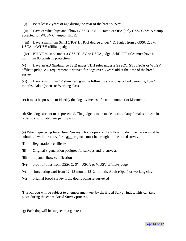(i) Be at least 2 years of age during the year of the breed survey.

(ii) Have certified hips and elbows GSSCC/SV -A stamp or OFA (only GSSCC/SV-A stamp accepted for WUSV Championships).

(iii) Have a minimum SchH 1/IGP 1/ HGH degree under VDH rules from a GSSCC, SV, USCA or WUSV affiliate judge

(iv) BH-VT must be under a GSSCC, SV or USCA judge. SchH/IGP titles must have a minimum 80 points in protection.

(v) Have an AD (Endurance Test) under VDH rules under a GSSCC, SV, USCA or WUSV affiliate judge. AD requirement is waived for dogs over 6 years old at the time of the breed survey.

(vi) Have a minimum 'G' show rating in the following show class - 12-18 months, 18-24 months, Adult (open) or Working class

(c) It must be possible to identify the dog, by means of a tattoo number or Microchip.

(d) Sick dogs are not to be presented. The judge is to be made aware of any females in heat, in order to coordinate their participation.

(e) When registering for a Breed Survey, photocopies of the following documentation must be submitted with the entry form and originals must be brought to the breed survey.

- (i) Registration certificate
- (ii) Original 3 generation pedigree for surveys and re-surveys
- (iii) hip and elbow certification
- (iv) proof of titles from GSSCC, SV, USCA or WUSV affiliate judge.
- (v) show rating card from 12–18-month, 18–24-month, Adult (Open) or working class
- (vi) original breed survey if the dog is being re-surveyed

(f) Each dog will be subject to a temperament test by the Breed Survey judge. This can take place during the entire Breed Survey process.

(g) Each dog will be subject to a gun test.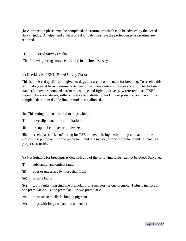(h) A protection phase must be completed, the routine of which is to be advised by the Breed Survey judge. A helper and at least one dog to demonstrate the protection phase routine are required.

#### 11.1 Breed Survey results

The following ratings may be awarded in the breed survey.

#### (a) Koerklasse - "KKL (Breed Survey Class)

This is the breed qualification given to dogs that are recommended for breeding. To receive this rating, dogs must have measurements, weight, and anatomical structure according to the breed standard, show pronounced hardness, courage and fighting drive (now referred to as "TSB" meaning balanced drives, self-confidence and ability to work under pressure) and have full and complete dentition; double first premolars are allowed.

- (b) This rating is also awarded to dogs which:
- (i) have slight anatomical limitations
- (ii) are up to 1 cm over or undersized

(iii) receive a "sufficient" rating for TSB or have missing teeth - one premolar 1 or one incisor, two premolar 1 or one premolar 1 and one incisor, or one premolar 2 and not having a proper scissor bite.

(c) Not Suitable for breeding. A dog with any of the following faults, cannot be Breed Surveyed.

- (i) substantial anatomical faults
- (ii) over or undersize by more than 1 cm
- (iii) testicle faults

(iv) tooth faults - missing one premolar 3 or 2 incisors, or one premolar 1 plus 1 incisor, or one premolar 2 plus one premolar 1 or two premolar 2

- (v) dogs substantially lacking in pigment
- (vi) dogs with long coat and no undercoat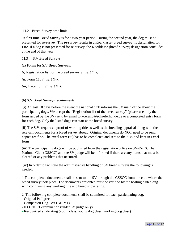11.2 Breed Survey time limit

A first time Breed Survey is for a two-year period. During the second year, the dog must be presented for re-survey. The re-survey results in a Koerklasse (breed survey) is designation for Life. If a dog is not presented for re-survey, the Koerklasse (breed survey) designation concludes at the end of that year.

11.3 S.V Breed Surveys

(a) Forms for S.V Breed Surveys:

*(i)* Registration list for the breed survey. *(insert link)*

*(ii)* Form 118 *(insert link)*

*(iii)* Excel form *(insert link)*

#### (b) S.V Breed Surveys requirements

(i) At least 10 days before the event the national club informs the SV main office about the participating dogs. We accept the "Registration list of the breed survey" (please use only the form issued by the SV) send by [email to koerung@schaeferhunde.de](mailto:koerung@schaeferhunde.de) or a completed entry form for each dog. Only the listed dogs can start at the breed survey.

(ii) The S.V. requires a proof of working title as well as the breeding appraisal along with the relevant documents for a breed survey abroad. Original documents do NOT need to be sent; copies are fine. The excel form (iii) has to be completed and sent to the S.V. and kept in Excel form

(iii) The participating dogs will be published from the registration office on SV-DoxS. The National Club (GSSCC) and the SV-judge will be informed if there are any items that must be cleared or any problems that occurred.

(iv) In order to facilitate the administrative handling of SV breed surveys the following is needed:

1.The completed documents shall be sent to the SV through the GSSCC from the club where the breed survey took place. The documents presented must be verified by the hosting club along with confirming any working title and breed show rating.

2. The following complete documents shall be submitted for each participating dog:

- Original Pedigree
- Companion Dog Test (BH-VT)
- IPO1/IGP1 examination (under SV judge only)
- Recognized stud-rating (youth class, young dog class, working dog class)